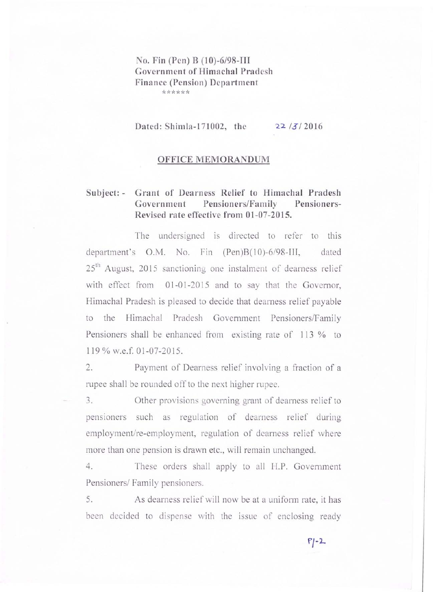## **No. Fin (Pen) B (10)-6/98-III Government of Himachal Pradesh Finance (Pension) Department \*\*\*\*\*\***

**Dated: Shimla-171002, the** 

**22** / **2016** 

#### **OFFICE MEMORANDUM**

# **Subject: - Grant of Dearness Relief to Himachal Pradesh Government Pensioners/Family Pensioners-Revised rate effective from 01-07-2015.**

The undersigned is directed to refer to this department's O.M. No. Fin (Pen)B(10)-6/98-III, dated 25<sup>th</sup> August, 2015 sanctioning one instalment of dearness relief with effect from 01-01-2015 and to say that the Governor, Himachal Pradesh is pleased to decide that dearness relief payable to the Himachal Pradesh Government Pensioners/Family Pensioners shall be enhanced from existing rate of 113 % to 119 % w.e.f. 01 -07-2015.

2. Payment of Dearness relief involving a fraction of a rupee shall be rounded off to the next higher rupee.

3. Other provisions governing grant of dearness relief to pensioners such as regulation of dearness relief during employment/re-employment, regulation of dearness relief where more than one pension is drawn etc., will remain unchanged.

4. These orders shall apply to all H.P. Government Pensioners/ Family pensioners.

5. As dearness relief will now be at a uniform rate, it has been decided to dispense with the issue of enclosing ready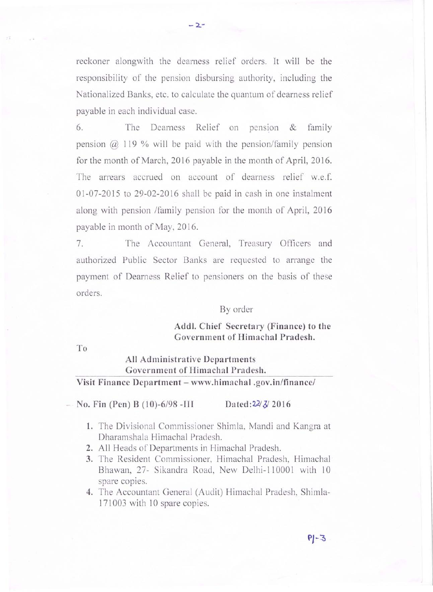reckoner alongwith the dearness relief orders. It will be the responsibility of the pension disbursing authority, including the Nationalized Banks, etc. to calculate the quantum of dearness relief payable in each individual case.

**- 2.-**

 $6.$  The Dearness Relief on pension  $\&$  family pension  $\omega$  119 % will be paid with the pension/family pension for the month of March, 2016 payable in the month of April, 2016. The arrears accrued on account of dearness relief w.e.f. 01-07-2015 to 29-02-2016 shall be paid in cash in one instalment along with pension /family pension for the month of April, 2016 payable in month of May, 2016.

7. The Accountant General, Treasury Officers and authorized Public Sector Banks are requested to arrange the payment of Dearness Relief to pensioners on the basis of these orders.

#### By order

## **Addl. Chief Secretary (Finance) to the Government of Himachal Pradesh.**

**To** 

# **All Administrative Departments Government of Himachal Pradesh.**

### **Visit Finance Department - www.himachal.gov.in/finance/**

No. Fin (Pen) B (10)-6/98 -III Dated:  $22/3/2016$ 

- 1. The Divisional Commissioner Shimla, Mandi and Kangra at Dharamshala Himachal Pradesh.
- 2. All Heads of Departments in Himachal Pradesh.
- **3.** The Resident Commissioner, Himachal Pradesh, Himachal Bhawan, 27- Sikandra Road, New Delhi-110001 with 10 spare copies.
- **4.** The Accountant General (Audit) Himachal Pradesh, Shimla-171003 with 10 spare copies.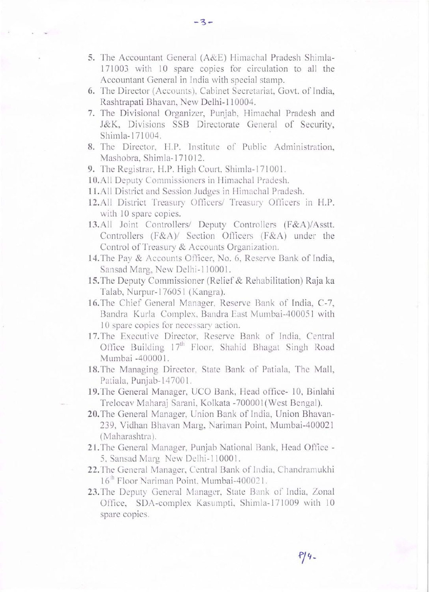5. The Accountant General (A&E) Himachal Pradesh Shimla-171003 with 10 spare copies for circulation to all the Accountant General in India with special stamp.

-3-

- 6. The Director (Accounts), Cabinet Secretariat, Govt. of India, Rashtrapati Bhavan, New Delhi-II 0004.
- 7. The Divisional Organizer, Punjab, Himachal Pradesh and J&K, Divisions SSB Directorate General of Security, Shimla-17I004.
- 8. The Director, H.P. Jnstitute of Public Administration, Mashobra, Shimla-171012.
- 9. The Registrar, H.P. High Court, Shimla-171001.
- 10.All Deputy Commissioners in Himachal Pradesh.
- 11.All District and Session Judges in Himachal Pradesh.
- 12.All District Treasury Officers/ Treasury Officers in H.P. with 10 spare copies.
- 13.All Joint Controllers/ Deputy Controllers (F&A)/Asstt. Controllers (F&A)/ Section Officers (F&A) under the Control of Treasury & Accounts Organization.
- 14. The Pay & Accounts Officer, No. 6, Reserve Bank of India, Sansad Marg, New Delhi-110001.
- IS.The Deputy Commissioner (Relief & Rehabilitation) Raja ka Talab, Nurpur-1 7605 1 (Kangra).
- 16. The Chief General Manager, Reserve Bank of India, C-7, Bandra Kurla Complex, Bandra East Mumbai-400051 with 10 spare copies for necessary action.
- 17. The Executive Director, Reserve Bank of India, Central Office Building  $17<sup>th</sup>$  Floor, Shahid Bhagat Singh Road Mumbai -40000 I.
- 18. The Managing Director, State Bank of Patiala, The Mall, Patiala, Punjab-1 4700 1.
- 19. The General Manager, UCO Bank, Head office- 10, Binlahi Trelocav Maharaj Sarani, Kolkata -70000 I (West Bengal).
- 20. The General Manager, Union Bank of India, Union Bhavan-239, Vidhan Bhavan Marg, Nariman Point, Mumbai-400021 (Maharashtra).
- 21. The General Manager, Punjab National Bank, Head Office -5, Sansad Marg New Delhi-110001.
- 22. The General Manager, Central Bank of India, Chandramukhi 16<sup>th</sup> Floor Nariman Point, Mumbai-400021.
- 23. The Deputy General Manager, State Bank of India, Zonal Office, SDA-complex Kasumpti, Shimla-171009 with 10 spare copies.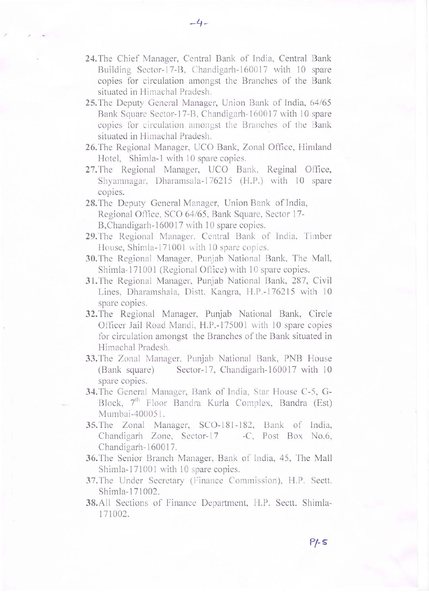**24.** The Chief Manager, Central Bank of India, Central Bank Building Sector-17-B, Chandigarh-160017 with 10 spare copies for circulation amongst the Branches of the Bank situated in Himachal Pradesh.

.- **-4-**

- **25.** The Deputy General Manager, Union Bank of India, *64/65*  Bank Square Sector-17-B, Chandigarh-160017 with 10 spare copies for circulation amongst the Branches of the Bank situated in Himachal Pradesh. '
- **26.** The Regional Manager, UCO Bank, Zonal Office, Himland Hotel, Shimla-I with 10 spare copies,
- 27.The Regional Manager, UCO Bank, Reginal Office, Shyamnagar, Dharamsala-176215 (H.P.) with 10 spare copies,
- **28.** The Deputy General Manager, Union Bank of India, Regional Office, SCO *64/65,* Bank Square, Sector 17- B, Chandigarh-160017 with 10 spare copies.
- 29. The Regional Manager. Central Bank of India, Timber House, Shimla-171001 with 10 spare copies.
- 30.The Regional Manager, Punjab National Bank, The Mall, Shimla-171001 (Regional Office) with 10 spare copies.
- **31.** The Regional Managcr, Punjab National Bank, 287, Civil Lines, Dharamshala, Distt. Kangra, H.P.-176215 with 10 spare copies.
- **32.** The Regional Manager, Punjab National Bank, Circle Officer Jail Road Mandi, H.P.-175001 with 10 spare copies for circulation amongst the Branches of the Bank situated in Himachal Pradesh.
- **33.** The Zonal Manager, Punjab National Bank, PNB House (Bank square) Sector-17, Chandigarh-160017 with 10 spare copies.
- 34. The General Manager, Bank of India, Star House C-5, G-Block, 7<sup>th</sup> Floor Bandra Kurla Complex, Bandra (Est) Mumbai-400051 .
- **35.** The Zonal Manager, SCO-181-182, Bank of India, Chandigarh Zone, Scctor-17 -C, Post Box No.6, Chandigarh-1600 17.
- **36.** The Senior Branch Manager, Bank of India, 45, The Mall Shimla-171001 with 10 spare copies.
- 37. The Under Secretary (Finance Commission), H.P. Sectt. Shimla-171002.
- **38.**All Sections of Finance Department, H.P. Sectt. Shimla-171002.

 $P/-5$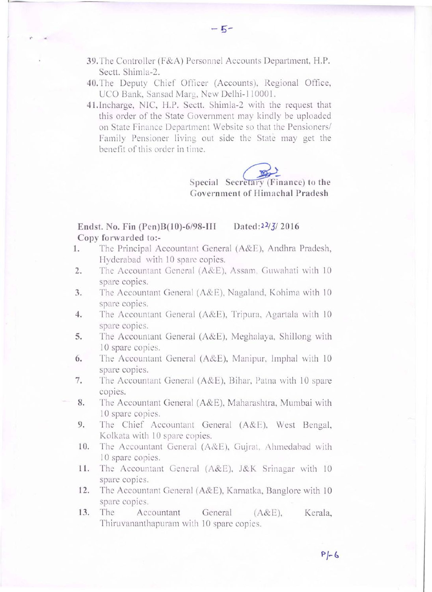- 39.The Controller (F&A) Personnel Accounts Department, H.P. Sectt. Shimla-2.
- 40.The Deputy Chief Officer (Accounts), Regional Office, UCO Bank, Sansad Marg, New Delhi-110001.
- 4 1. Incharge, NIC, H.P. Sectt. Shimla-2 with the request that this order of the State Government may kindly be uploaded on State Finance Department Website so that the Pensioners/ Family Pensioner living out side the State may get the benefit of this order in time.

Special Secretary (Finance) to the Government of Himachal Pradesh

### Endst. No. Fin (Pen)B(10)-6/98-III Dated: $2\frac{2}{3}$  2016 Copy forwarded to:-

- 1. The Principal Accountant General (A&E), Andhra Pradesh, Hyderabad with 10 spare copies.
- 2. The Accountant General (A&E), Assam. Guwahati with 10 spare copies.
- 3. The Accountant General (A&E), Nagaland, Kohima with 10 spare copies.
- 4. The Accountant General (A&E), Tripura, Agartala with 10 spare copies.
- 5. The Accountant General (A&E), Meghalaya, Shillong with 10 spare copies.
- 6. The Accountant General (A&E), Manipur, Imphal with 10 spare copies.
- 7. The Accountant General (A&E), Bihar, Patna with 10 spare copies.
- 8. The Accountant General (A&E), Maharashtra, Mumbai with 10 spare copies.
	- 9. The Chief Accountant General (A&E), West Bengal, Kolkata with 10 spare copies.
	- 10. The Accountant General (A&E), Gujrat, Ahmedabad with 10 spare copies.
	- 11. The Accountant General (A&E), J&K Srinagar with 10 spare copies.
	- 12. The Accountant General (A&E), Karnatka, Banglore with 10 spare copies.
	- 13. The Accountant General (A&E), Kerala, Thiruvananthapuram with 10 spare copies.